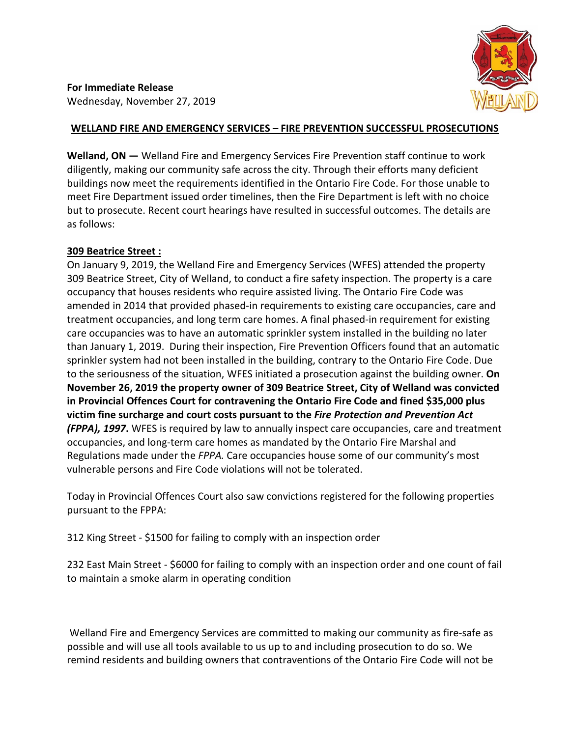**For Immediate Release**  Wednesday, November 27, 2019

## **WELLAND FIRE AND EMERGENCY SERVICES – FIRE PREVENTION SUCCESSFUL PROSECUTIONS**

**Welland, ON —** Welland Fire and Emergency Services Fire Prevention staff continue to work diligently, making our community safe across the city. Through their efforts many deficient buildings now meet the requirements identified in the Ontario Fire Code. For those unable to meet Fire Department issued order timelines, then the Fire Department is left with no choice but to prosecute. Recent court hearings have resulted in successful outcomes. The details are as follows:

## **309 Beatrice Street :**

On January 9, 2019, the Welland Fire and Emergency Services (WFES) attended the property 309 Beatrice Street, City of Welland, to conduct a fire safety inspection. The property is a care occupancy that houses residents who require assisted living. The Ontario Fire Code was amended in 2014 that provided phased-in requirements to existing care occupancies, care and treatment occupancies, and long term care homes. A final phased-in requirement for existing care occupancies was to have an automatic sprinkler system installed in the building no later than January 1, 2019. During their inspection, Fire Prevention Officers found that an automatic sprinkler system had not been installed in the building, contrary to the Ontario Fire Code. Due to the seriousness of the situation, WFES initiated a prosecution against the building owner. **On November 26, 2019 the property owner of 309 Beatrice Street, City of Welland was convicted in Provincial Offences Court for contravening the Ontario Fire Code and fined \$35,000 plus victim fine surcharge and court costs pursuant to the** *Fire Protection and Prevention Act (FPPA), 1997***.** WFES is required by law to annually inspect care occupancies, care and treatment occupancies, and long-term care homes as mandated by the Ontario Fire Marshal and Regulations made under the *FPPA.* Care occupancies house some of our community's most vulnerable persons and Fire Code violations will not be tolerated.

Today in Provincial Offences Court also saw convictions registered for the following properties pursuant to the FPPA:

312 King Street - \$1500 for failing to comply with an inspection order

232 East Main Street - \$6000 for failing to comply with an inspection order and one count of fail to maintain a smoke alarm in operating condition

Welland Fire and Emergency Services are committed to making our community as fire-safe as possible and will use all tools available to us up to and including prosecution to do so. We remind residents and building owners that contraventions of the Ontario Fire Code will not be